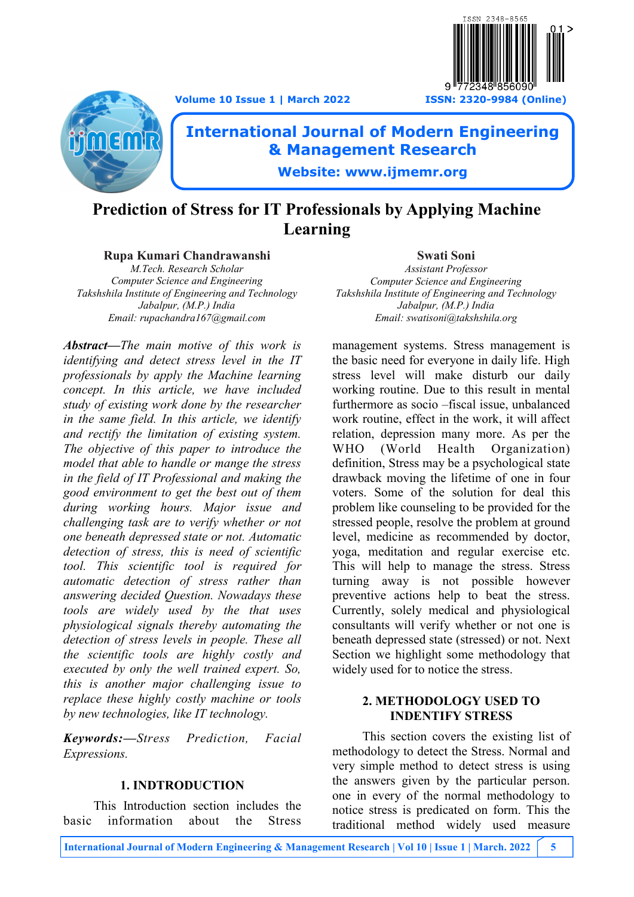**Volume 10 Issue 1 | March 2022 ISSN: 2320-9984 (Online)**





# **International Journal of Modern Engineering & Management Research**

**Website: www.ijmemr.org**

# **Prediction of Stress for IT Professionals by Applying Machine Learning**

### **Rupa Kumari Chandrawanshi**

*M.Tech. Research Scholar Computer Science and Engineering Takshshila Institute of Engineering and Technology Jabalpur, (M.P.) India Email: rupachandra167@gmail.com*

*Abstract—The main motive of this work is identifying and detect stress level in the IT professionals by apply the Machine learning concept. In this article, we have included study of existing work done by the researcher in the same field. In this article, we identify and rectify the limitation of existing system. The objective of this paper to introduce the model that able to handle or mange the stress in the field of IT Professional and making the good environment to get the best out of them during working hours. Major issue and challenging task are to verify whether or not one beneath depressed state or not. Automatic detection of stress, this is need of scientific tool. This scientific tool is required for automatic detection of stress rather than answering decided Question. Nowadays these tools are widely used by the that uses physiological signals thereby automating the detection of stress levels in people. These all the scientific tools are highly costly and executed by only the well trained expert. So, this is another major challenging issue to replace these highly costly machine or tools by new technologies, like IT technology.*

*Keywords:—Stress Prediction, Facial Expressions.*

### **1. INDTRODUCTION**

This Introduction section includes the basic information about the Stress

**Swati Soni** *Assistant Professor*

*Computer Science and Engineering Takshshila Institute of Engineering and Technology Jabalpur, (M.P.) India Email: swatisoni@takshshila.org*

management systems. Stress management is the basic need for everyone in daily life. High stress level will make disturb our daily working routine. Due to this result in mental furthermore as socio –fiscal issue, unbalanced work routine, effect in the work, it will affect relation, depression many more. As per the WHO (World Health Organization) definition, Stress may be a psychological state drawback moving the lifetime of one in four voters. Some of the solution for deal this problem like counseling to be provided for the stressed people, resolve the problem at ground level, medicine as recommended by doctor, yoga, meditation and regular exercise etc. This will help to manage the stress. Stress turning away is not possible however preventive actions help to beat the stress. Currently, solely medical and physiological consultants will verify whether or not one is beneath depressed state (stressed) or not. Next Section we highlight some methodology that widely used for to notice the stress.

## **2. METHODOLOGY USED TO INDENTIFY STRESS**

This section covers the existing list of methodology to detect the Stress. Normal and very simple method to detect stress is using the answers given by the particular person. one in every of the normal methodology to notice stress is predicated on form. This the traditional method widely used measure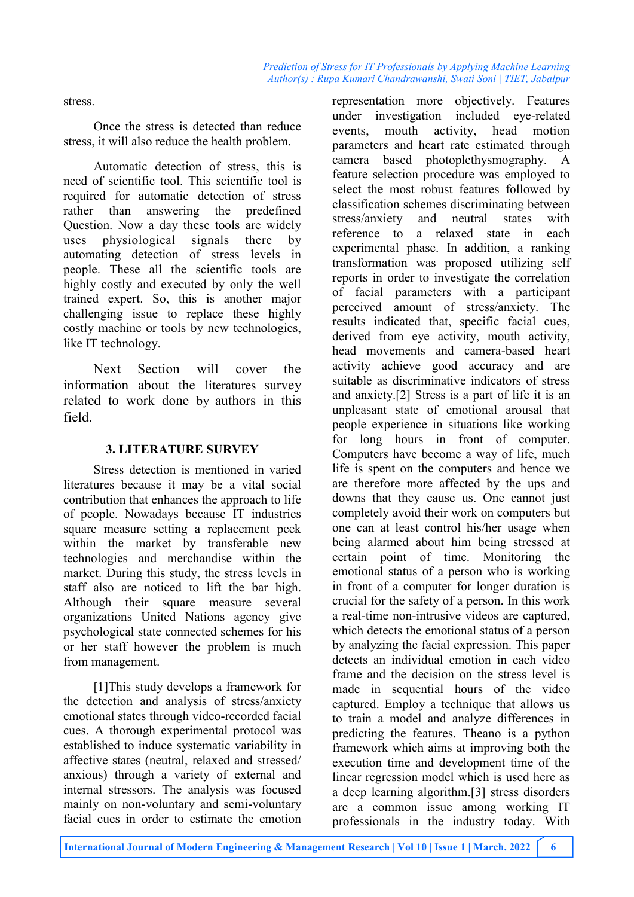stress.

Once the stress is detected than reduce stress, it will also reduce the health problem.

Automatic detection of stress, this is need of scientific tool. This scientific tool is required for automatic detection of stress rather than answering the predefined Question. Now a day these tools are widely uses physiological signals there by automating detection of stress levels in people. These all the scientific tools are highly costly and executed by only the well trained expert. So, this is another major challenging issue to replace these highly costly machine or tools by new technologies, like IT technology.

Next Section will cover the information about the literatures survey related to work done by authors in this field.

## **3. LITERATURE SURVEY**

Stress detection is mentioned in varied literatures because it may be a vital social contribution that enhances the approach to life of people. Nowadays because IT industries square measure setting a replacement peek within the market by transferable new technologies and merchandise within the market. During this study, the stress levels in staff also are noticed to lift the bar high. Although their square measure several organizations United Nations agency give psychological state connected schemes for his or her staff however the problem is much from management.

[1]This study develops a framework for the detection and analysis of stress/anxiety emotional states through video-recorded facial cues. A thorough experimental protocol was established to induce systematic variability in affective states (neutral, relaxed and stressed/ anxious) through a variety of external and internal stressors. The analysis was focused mainly on non-voluntary and semi-voluntary facial cues in order to estimate the emotion representation more objectively. Features under investigation included eye-related events, mouth activity, head motion parameters and heart rate estimated through camera based photoplethysmography. A feature selection procedure was employed to select the most robust features followed by classification schemes discriminating between<br>stress/anxiety and neutral states with and neutral states with reference to a relaxed state in each experimental phase. In addition, a ranking transformation was proposed utilizing self reports in order to investigate the correlation of facial parameters with a participant perceived amount of stress/anxiety. The results indicated that, specific facial cues, derived from eye activity, mouth activity, head movements and camera-based heart activity achieve good accuracy and are suitable as discriminative indicators of stress and anxiety.[2] Stress is a part of life it is an unpleasant state of emotional arousal that people experience in situations like working for long hours in front of computer. Computers have become a way of life, much life is spent on the computers and hence we are therefore more affected by the ups and downs that they cause us. One cannot just completely avoid their work on computers but one can at least control his/her usage when being alarmed about him being stressed at certain point of time. Monitoring the emotional status of a person who is working in front of a computer for longer duration is crucial for the safety of a person. In this work a real-time non-intrusive videos are captured, which detects the emotional status of a person by analyzing the facial expression. This paper detects an individual emotion in each video frame and the decision on the stress level is made in sequential hours of the video captured. Employ a technique that allows us to train a model and analyze differences in predicting the features. Theano is a python framework which aims at improving both the execution time and development time of the linear regression model which is used here as a deep learning algorithm.[3] stress disorders are a common issue among working IT professionals in the industry today. With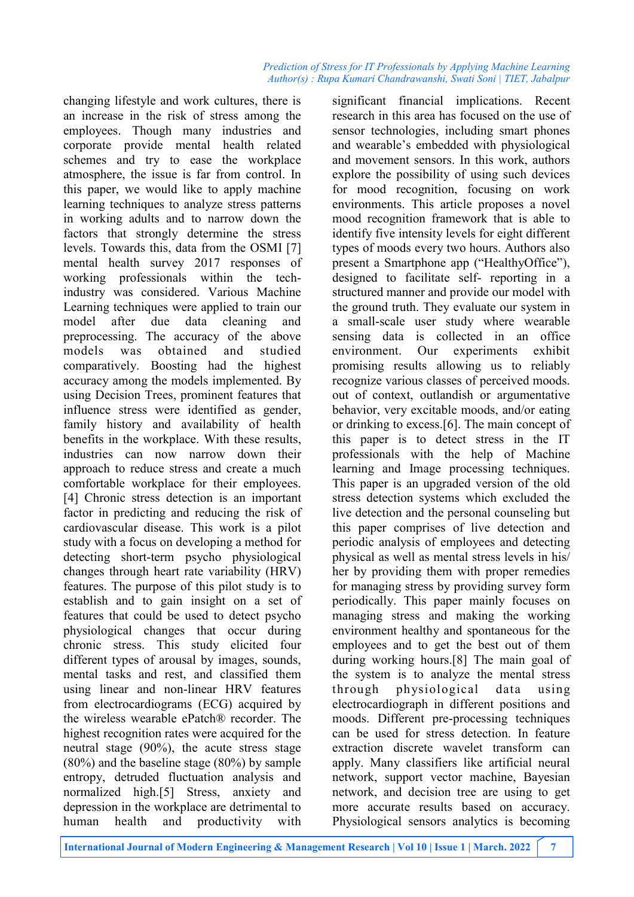changing lifestyle and work cultures, there is an increase in the risk of stress among the employees. Though many industries and corporate provide mental health related schemes and try to ease the workplace atmosphere, the issue is far from control. In this paper, we would like to apply machine learning techniques to analyze stress patterns in working adults and to narrow down the factors that strongly determine the stress levels. Towards this, data from the OSMI [7] mental health survey 2017 responses of working professionals within the techindustry was considered. Various Machine Learning techniques were applied to train our model after due data cleaning and preprocessing. The accuracy of the above models was obtained and studied comparatively. Boosting had the highest accuracy among the models implemented. By using Decision Trees, prominent features that influence stress were identified as gender, family history and availability of health benefits in the workplace. With these results, industries can now narrow down their approach to reduce stress and create a much comfortable workplace for their employees. [4] Chronic stress detection is an important factor in predicting and reducing the risk of cardiovascular disease. This work is a pilot study with a focus on developing a method for detecting short-term psycho physiological changes through heart rate variability (HRV) features. The purpose of this pilot study is to establish and to gain insight on a set of features that could be used to detect psycho physiological changes that occur during chronic stress. This study elicited four different types of arousal by images, sounds, mental tasks and rest, and classified them using linear and non-linear HRV features from electrocardiograms (ECG) acquired by the wireless wearable ePatch® recorder. The highest recognition rates were acquired for the neutral stage (90%), the acute stress stage (80%) and the baseline stage (80%) by sample entropy, detruded fluctuation analysis and normalized high.[5] Stress, anxiety and depression in the workplace are detrimental to human health and productivity with

significant financial implications. Recent research in this area has focused on the use of sensor technologies, including smart phones and wearable's embedded with physiological and movement sensors. In this work, authors explore the possibility of using such devices for mood recognition, focusing on work environments. This article proposes a novel mood recognition framework that is able to identify five intensity levels for eight different types of moods every two hours. Authors also present a Smartphone app ("HealthyOffice"), designed to facilitate self- reporting in a structured manner and provide our model with the ground truth. They evaluate our system in a small-scale user study where wearable sensing data is collected in an office environment. Our experiments exhibit promising results allowing us to reliably recognize various classes of perceived moods. out of context, outlandish or argumentative behavior, very excitable moods, and/or eating or drinking to excess.[6]. The main concept of this paper is to detect stress in the IT professionals with the help of Machine learning and Image processing techniques. This paper is an upgraded version of the old stress detection systems which excluded the live detection and the personal counseling but this paper comprises of live detection and periodic analysis of employees and detecting physical as well as mental stress levels in his/ her by providing them with proper remedies for managing stress by providing survey form periodically. This paper mainly focuses on managing stress and making the working environment healthy and spontaneous for the employees and to get the best out of them during working hours.[8] The main goal of the system is to analyze the mental stress through physiological data using electrocardiograph in different positions and moods. Different pre-processing techniques can be used for stress detection. In feature extraction discrete wavelet transform can apply. Many classifiers like artificial neural network, support vector machine, Bayesian network, and decision tree are using to get more accurate results based on accuracy. Physiological sensors analytics is becoming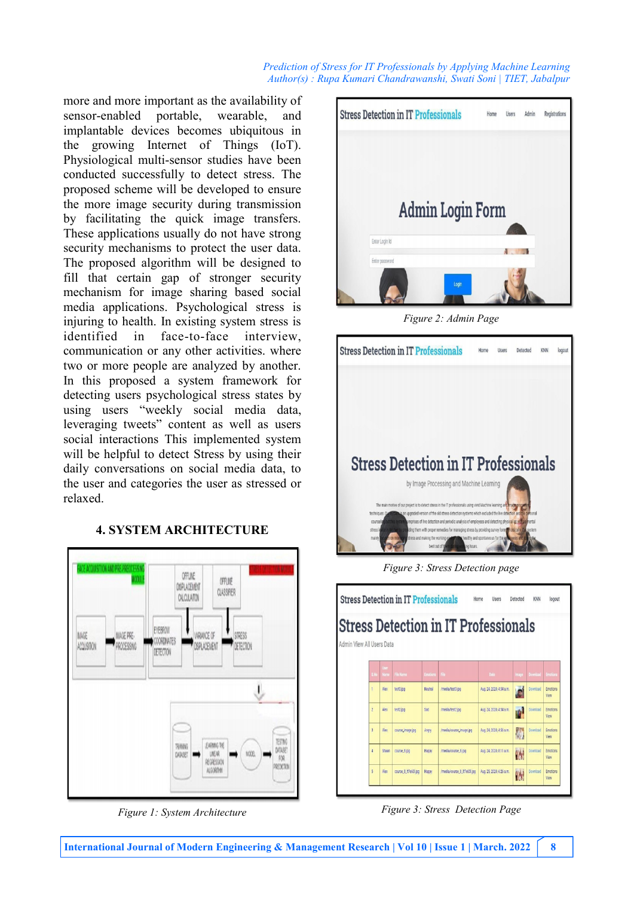*Prediction of Stress for IT Professionals by Applying Machine Learning Author(s) : Rupa Kumari Chandrawanshi, Swati Soni | TIET, Jabalpur* 

more and more important as the availability of sensor-enabled portable, wearable, and implantable devices becomes ubiquitous in the growing Internet of Things (IoT). Physiological multi-sensor studies have been conducted successfully to detect stress. The proposed scheme will be developed to ensure the more image security during transmission by facilitating the quick image transfers. These applications usually do not have strong security mechanisms to protect the user data. The proposed algorithm will be designed to fill that certain gap of stronger security mechanism for image sharing based social media applications. Psychological stress is injuring to health. In existing system stress is identified in face-to-face interview, communication or any other activities. where two or more people are analyzed by another. In this proposed a system framework for detecting users psychological stress states by using users "weekly social media data, leveraging tweets" content as well as users social interactions This implemented system will be helpful to detect Stress by using their daily conversations on social media data, to the user and categories the user as stressed or relaxed.

## **4. SYSTEM ARCHITECTURE**



*Figure 1: System Architecture*



*Figure 2: Admin Page*



*Figure 3: Stress Detection page*

|                           |                |              | <b>Stress Detection in IT Professionals</b> |                |                                      | Home<br>Users            | Detected       | KNN             | logout                  |
|---------------------------|----------------|--------------|---------------------------------------------|----------------|--------------------------------------|--------------------------|----------------|-----------------|-------------------------|
|                           |                |              |                                             |                | Stress Detection in IT Professionals |                          |                |                 |                         |
| Admin View All Users Data |                |              |                                             |                |                                      |                          |                |                 |                         |
|                           | S.No           | User<br>Narx | <b>File Name</b>                            | <b>Emotion</b> | File                                 | Date                     | Image          | Download        | Emotions                |
|                           | $\mathbf{I}$   | Alex         | test3.jpg                                   | <b>Neutral</b> | /media/test3.jpg                     | Aug. 24, 2020, 4:54 a.m. | a              | <b>Download</b> | <b>Emotions</b><br>View |
|                           | $\overline{c}$ | Alex         | test2 log                                   | Sad            | /media/test2.jpg                     | Aug 24 2020 4:54 a.m.    | m <sup>1</sup> | Download        | <b>Emotions</b><br>View |
|                           | $\overline{3}$ | Alex         | course_image.jpg                            | Angry          | /media/course_image.jpg              | Aug. 24, 2020, 4:56 a.m. | 鹏              | Download        | <b>Emotions</b><br>View |
|                           | $\overline{4}$ | Shaan        | course_8.jpg                                | Hator          | /media/course_8.ipg                  | Aug. 24, 2020, 8:11 a.m. |                | Download        | <b>Emotions</b><br>View |
|                           | $\overline{5}$ | Alex         | course 8 h7e63l.jpg                         | Happy          | /media/course_8_lt7e63l.jpg          | Aug. 25, 2020, 6:26 a.m. | W              | Download        | <b>Emotions</b><br>View |

*Figure 3: Stress Detection Page*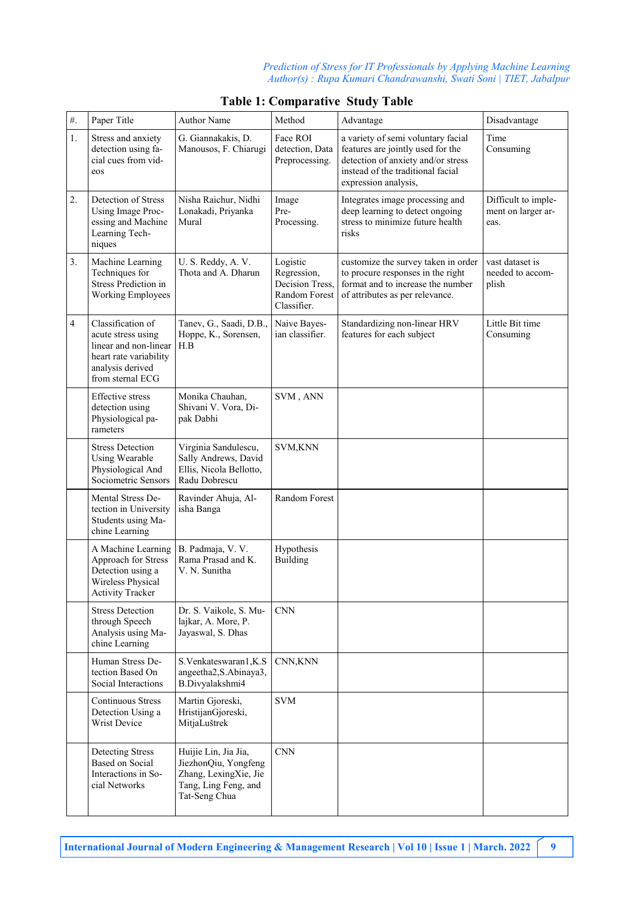*Prediction of Stress for IT Professionals by Applying Machine Learning Author(s) : Rupa Kumari Chandrawanshi, Swati Soni | TIET, Jabalpur* 

| $#$ .          | Paper Title                                                                                                                        | Author Name                                                                                                    | Method                                                                     | Advantage                                                                                                                                                                  | Disadvantage                                      |
|----------------|------------------------------------------------------------------------------------------------------------------------------------|----------------------------------------------------------------------------------------------------------------|----------------------------------------------------------------------------|----------------------------------------------------------------------------------------------------------------------------------------------------------------------------|---------------------------------------------------|
| 1.             | Stress and anxiety<br>detection using fa-<br>cial cues from vid-<br>eos                                                            | G. Giannakakis, D.<br>Manousos, F. Chiarugi                                                                    | Face ROI<br>detection, Data<br>Preprocessing.                              | a variety of semi voluntary facial<br>features are jointly used for the<br>detection of anxiety and/or stress<br>instead of the traditional facial<br>expression analysis, | Time<br>Consuming                                 |
| 2.             | Detection of Stress<br>Using Image Proc-<br>essing and Machine<br>Learning Tech-<br>niques                                         | Nisha Raichur, Nidhi<br>Lonakadi, Priyanka<br>Mural                                                            | Image<br>Pre-<br>Processing.                                               | Integrates image processing and<br>deep learning to detect ongoing<br>stress to minimize future health<br>risks                                                            | Difficult to imple-<br>ment on larger ar-<br>eas. |
| 3.             | Machine Learning<br>Techniques for<br><b>Stress Prediction in</b><br><b>Working Employees</b>                                      | U.S. Reddy, A.V.<br>Thota and A. Dharun                                                                        | Logistic<br>Regression,<br>Decision Tress,<br>Random Forest<br>Classifier. | customize the survey taken in order<br>to procure responses in the right<br>format and to increase the number<br>of attributes as per relevance.                           | vast dataset is<br>needed to accom-<br>plish      |
| $\overline{4}$ | Classification of<br>acute stress using<br>linear and non-linear<br>heart rate variability<br>analysis derived<br>from sternal ECG | Tanev, G., Saadi, D.B.,<br>Hoppe, K., Sorensen,<br>H.B                                                         | Naive Bayes-<br>ian classifier.                                            | Standardizing non-linear HRV<br>features for each subject                                                                                                                  | Little Bit time<br>Consuming                      |
|                | <b>Effective</b> stress<br>detection using<br>Physiological pa-<br>rameters                                                        | Monika Chauhan,<br>Shivani V. Vora, Di-<br>pak Dabhi                                                           | SVM, ANN                                                                   |                                                                                                                                                                            |                                                   |
|                | <b>Stress Detection</b><br>Using Wearable<br>Physiological And<br>Sociometric Sensors                                              | Virginia Sandulescu,<br>Sally Andrews, David<br>Ellis, Nicola Bellotto,<br>Radu Dobrescu                       | SVM, KNN                                                                   |                                                                                                                                                                            |                                                   |
|                | Mental Stress De-<br>tection in University<br>Students using Ma-<br>chine Learning                                                 | Ravinder Ahuja, Al-<br>isha Banga                                                                              | Random Forest                                                              |                                                                                                                                                                            |                                                   |
|                | A Machine Learning<br>Approach for Stress<br>Detection using a<br>Wireless Physical<br><b>Activity Tracker</b>                     | B. Padmaja, V. V.<br>Rama Prasad and K.<br>V. N. Sunitha                                                       | Hypothesis<br>Building                                                     |                                                                                                                                                                            |                                                   |
|                | <b>Stress Detection</b><br>through Speech<br>Analysis using Ma-<br>chine Learning                                                  | Dr. S. Vaikole, S. Mu-<br>lajkar, A. More, P.<br>Jayaswal, S. Dhas                                             | <b>CNN</b>                                                                 |                                                                                                                                                                            |                                                   |
|                | Human Stress De-<br>tection Based On<br>Social Interactions                                                                        | S.Venkateswaran1,K.S<br>angeetha2, S.Abinaya3,<br>B.Divyalakshmi4                                              | CNN, KNN                                                                   |                                                                                                                                                                            |                                                   |
|                | <b>Continuous Stress</b><br>Detection Using a<br>Wrist Device                                                                      | Martin Gjoreski,<br>HristijanGjoreski,<br>MitjaLuštrek                                                         | <b>SVM</b>                                                                 |                                                                                                                                                                            |                                                   |
|                | <b>Detecting Stress</b><br>Based on Social<br>Interactions in So-<br>cial Networks                                                 | Huijie Lin, Jia Jia,<br>JiezhonQiu, Yongfeng<br>Zhang, LexingXie, Jie<br>Tang, Ling Feng, and<br>Tat-Seng Chua | <b>CNN</b>                                                                 |                                                                                                                                                                            |                                                   |

# **Table 1: Comparative Study Table**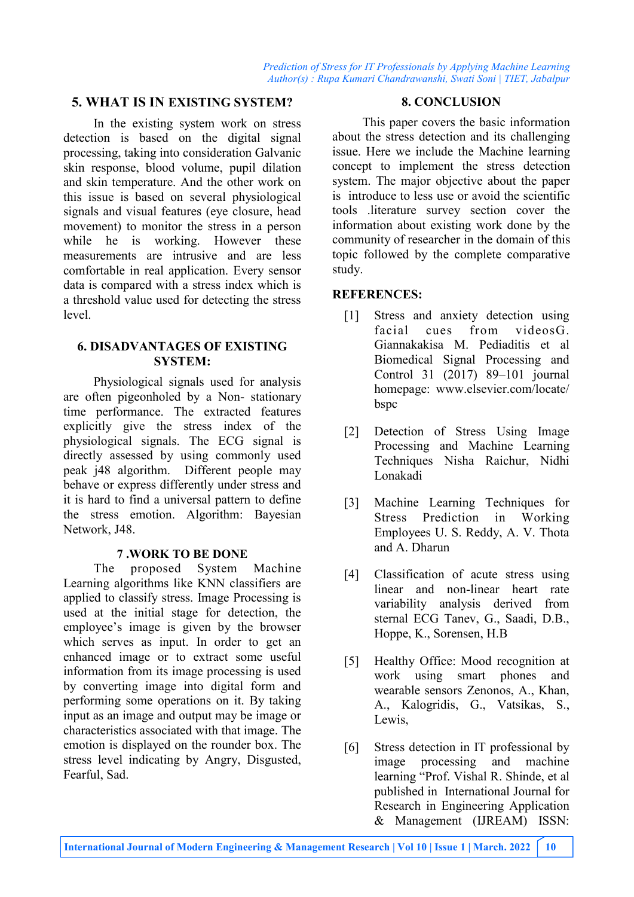# **5. WHAT IS IN EXISTING SYSTEM?**

In the existing system work on stress detection is based on the digital signal processing, taking into consideration Galvanic skin response, blood volume, pupil dilation and skin temperature. And the other work on this issue is based on several physiological signals and visual features (eye closure, head movement) to monitor the stress in a person while he is working. However these measurements are intrusive and are less comfortable in real application. Every sensor data is compared with a stress index which is a threshold value used for detecting the stress level.

#### **6. DISADVANTAGES OF EXISTING SYSTEM:**

Physiological signals used for analysis are often pigeonholed by a Non- stationary time performance. The extracted features explicitly give the stress index of the physiological signals. The ECG signal is directly assessed by using commonly used peak j48 algorithm. Different people may behave or express differently under stress and it is hard to find a universal pattern to define the stress emotion. Algorithm: Bayesian Network, J48.

#### **7 .WORK TO BE DONE**

The proposed System Machine Learning algorithms like KNN classifiers are applied to classify stress. Image Processing is used at the initial stage for detection, the employee's image is given by the browser which serves as input. In order to get an enhanced image or to extract some useful information from its image processing is used by converting image into digital form and performing some operations on it. By taking input as an image and output may be image or characteristics associated with that image. The emotion is displayed on the rounder box. The stress level indicating by Angry, Disgusted, Fearful, Sad.

#### **8. CONCLUSION**

This paper covers the basic information about the stress detection and its challenging issue. Here we include the Machine learning concept to implement the stress detection system. The major objective about the paper is introduce to less use or avoid the scientific tools .literature survey section cover the information about existing work done by the community of researcher in the domain of this topic followed by the complete comparative study.

## **REFERENCES:**

- [1] Stress and anxiety detection using facial cues from videosG. Giannakakisa M. Pediaditis et al Biomedical Signal Processing and Control 31 (2017) 89–101 journal homepage: www.elsevier.com/locate/ bspc
- [2] Detection of Stress Using Image Processing and Machine Learning Techniques Nisha Raichur, Nidhi Lonakadi
- [3] Machine Learning Techniques for Stress Prediction in Working Employees U. S. Reddy, A. V. Thota and A. Dharun
- [4] Classification of acute stress using linear and non-linear heart rate variability analysis derived from sternal ECG Tanev, G., Saadi, D.B., Hoppe, K., Sorensen, H.B
- [5] Healthy Office: Mood recognition at work using smart phones and wearable sensors Zenonos, A., Khan, A., Kalogridis, G., Vatsikas, S., Lewis,
- [6] Stress detection in IT professional by image processing and machine learning "Prof. Vishal R. Shinde, et al published in International Journal for Research in Engineering Application & Management (IJREAM) ISSN: